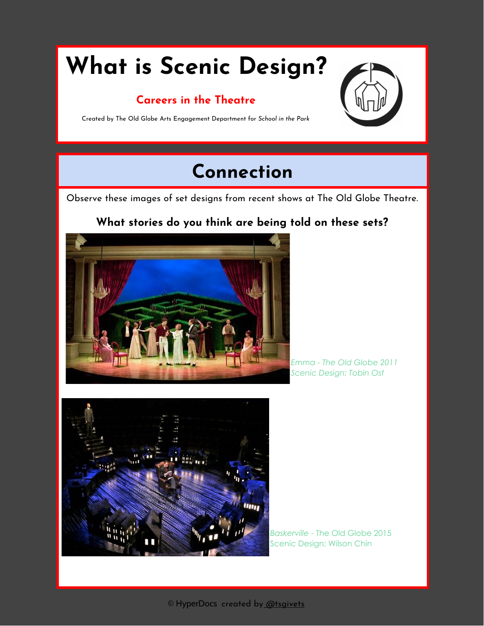# **What is Scenic Design?**

#### **Careers in the Theatre**



Created by The Old Globe Arts Engagement Department for *School in the Park*

## **Connection**

Observe these images of set designs from recent shows at The Old Globe Theatre.

#### **What stories do you think are being told on these sets?**



*Emma - The Old Globe 2011 Scenic Design: Tobin Ost*



*Baskerville* - The Old Globe 2015 Scenic Design: Wilson Chin